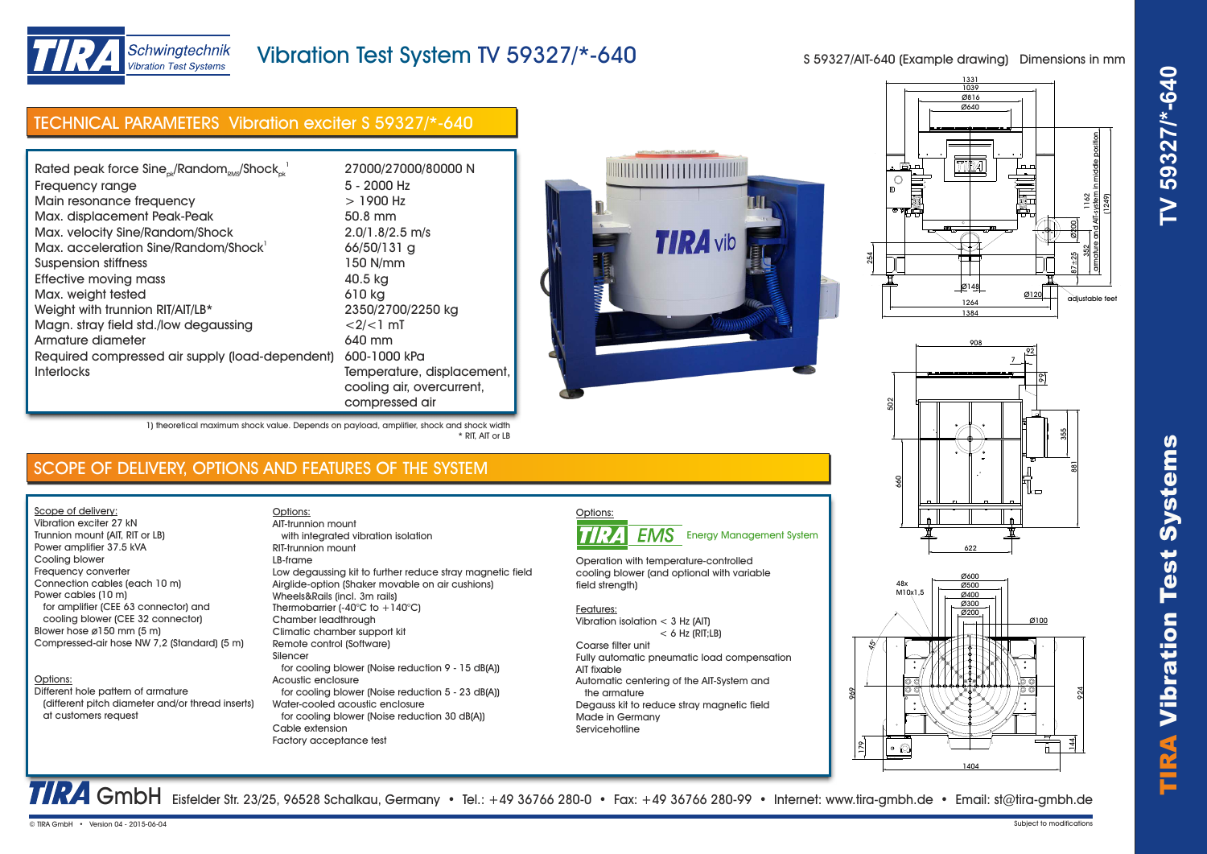

# TIRA Vibr ation Test Systems **TV 59327/\*-640**



# Vibration Test System TV 59327/\*-640

S 59327/AIT-640 (Example drawing) Dimensions in mm

# TECHNICAL PARAMETERS Vibration exciter S 59327/\*-640

| Rated peak force Sine <sub>ck</sub> /Random <sub>RMS</sub> /Shock <sub>ck</sub> <sup>1</sup> | 27000/27000/80000 N        |
|----------------------------------------------------------------------------------------------|----------------------------|
| Frequency range                                                                              | 5 - 2000 Hz                |
| Main resonance frequency                                                                     | $>1900$ Hz                 |
| Max. displacement Peak-Peak                                                                  | 50.8 mm                    |
| Max. velocity Sine/Random/Shock                                                              | $2.0/1.8/2.5$ m/s          |
| Max. acceleration Sine/Random/Shock                                                          | 66/50/131 g                |
| Suspension stiffness                                                                         | 150 N/mm                   |
| Effective moving mass                                                                        | 40.5 kg                    |
| Max. weight tested                                                                           | 610 kg                     |
| Weight with trunnion RIT/AIT/LB*                                                             | 2350/2700/2250 kg          |
| Magn. stray field std./low degaussing                                                        | $<2/<1$ mT                 |
| Armature diameter                                                                            | 640 mm                     |
| Required compressed air supply (load-dependent)                                              | 600-1000 kPa               |
| <b>Interlocks</b>                                                                            | Temperature, displacement, |
|                                                                                              | cooling air, overcurrent,  |
|                                                                                              | compressed air             |









1) theoretical maximum shock value. Depends on payload, amplifier, shock and shock width \* RIT, AIT or LB

Options:

# SCOPE OF DELIVERY, OPTIONS AND FEATURES OF THE SYSTEM

Scope of delivery: Vibration exciter 27 kN Trunnion mount (AIT, RIT or LB) Power amplifier 37.5 kVA

Cooling blower Frequency converter Connection cables (each 10 m) Power cables (10 m) for amplifier (CEE 63 connector) and cooling blower (CEE 32 connector) Blower hose ø150 mm (5 m) Compressed-air hose NW 7,2 (Standard) (5 m)

### Options:

Different hole pattern of armature (different pitch diameter and/or thread inserts) at customers request

 with integrated vibration isolation RIT-trunnion mount LB-frame Low degaussing kit to further reduce stray magnetic field Airglide-option (Shaker movable on air cushions) Wheels&Rails (incl. 3m rails) Thermobarrier (-40 $^{\circ}$ C to +140 $^{\circ}$ C) Chamber leadthrough Climatic chamber support kit Remote control (Software) Silencer for cooling blower (Noise reduction 9 - 15 dB(A)) Acoustic enclosure for cooling blower (Noise reduction 5 - 23 dB(A)) Water-cooled acoustic enclosure for cooling blower (Noise reduction 30 dB(A)) Cable extension Factory acceptance test AIT-trunnion mount



Operation with temperature-controlled cooling blower (and optional with variable field strength)

### Features:

Vibration isolation < 3 Hz (AIT)  $< 6$  Hz (RIT;  $\vert$  B)

Coarse filter unit Fully automatic pneumatic load compensation AIT fixable Automatic centering of the AIT-System and the armature Degauss kit to reduce stray magnetic field Made in Germany Servicehotline

TRA GmbH Eisfelder Str. 23/25, 96528 Schalkau, Germany • Tel.: +49 36766 280-0 • Fax: +49 36766 280-99 • Internet: www.tira-gmbh.de • Email: st@tira-gmbh.de